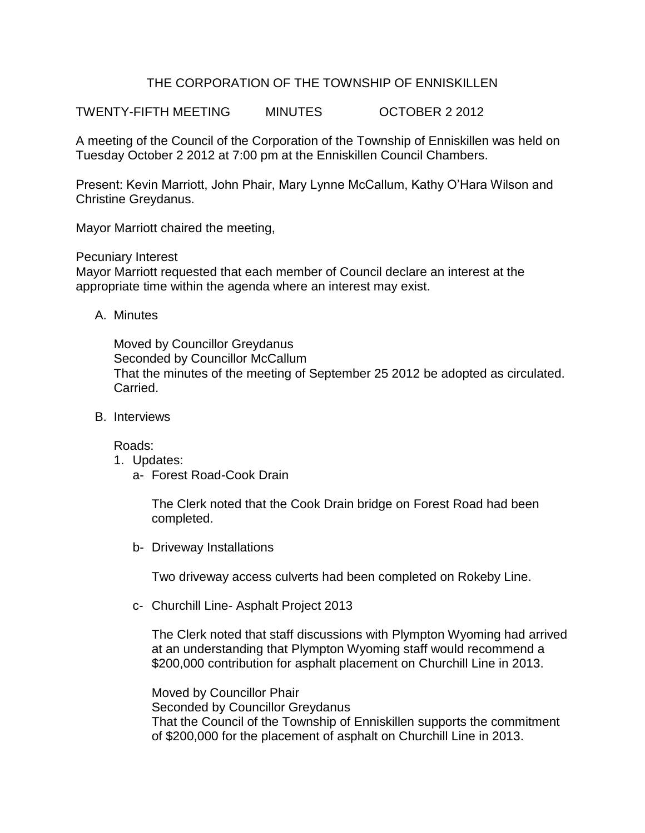## THE CORPORATION OF THE TOWNSHIP OF ENNISKILLEN

TWENTY-FIFTH MEETING MINUTES OCTOBER 2 2012

A meeting of the Council of the Corporation of the Township of Enniskillen was held on Tuesday October 2 2012 at 7:00 pm at the Enniskillen Council Chambers.

Present: Kevin Marriott, John Phair, Mary Lynne McCallum, Kathy O'Hara Wilson and Christine Greydanus.

Mayor Marriott chaired the meeting,

Pecuniary Interest

Mayor Marriott requested that each member of Council declare an interest at the appropriate time within the agenda where an interest may exist.

A. Minutes

Moved by Councillor Greydanus Seconded by Councillor McCallum That the minutes of the meeting of September 25 2012 be adopted as circulated. Carried.

B. Interviews

Roads:

- 1. Updates:
	- a- Forest Road-Cook Drain

The Clerk noted that the Cook Drain bridge on Forest Road had been completed.

b- Driveway Installations

Two driveway access culverts had been completed on Rokeby Line.

c- Churchill Line- Asphalt Project 2013

The Clerk noted that staff discussions with Plympton Wyoming had arrived at an understanding that Plympton Wyoming staff would recommend a \$200,000 contribution for asphalt placement on Churchill Line in 2013.

Moved by Councillor Phair Seconded by Councillor Greydanus That the Council of the Township of Enniskillen supports the commitment of \$200,000 for the placement of asphalt on Churchill Line in 2013.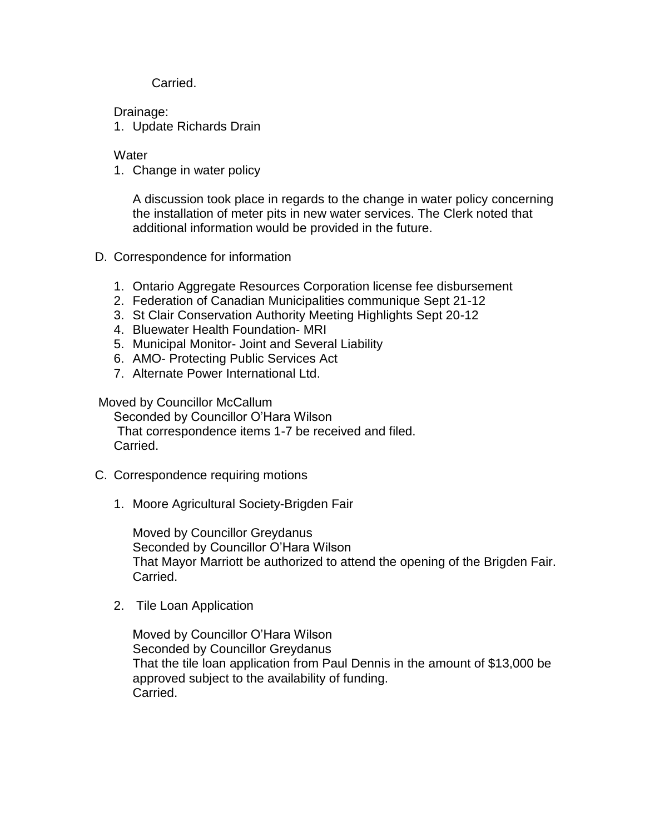Carried.

Drainage:

1. Update Richards Drain

**Water** 

1. Change in water policy

A discussion took place in regards to the change in water policy concerning the installation of meter pits in new water services. The Clerk noted that additional information would be provided in the future.

- D. Correspondence for information
	- 1. Ontario Aggregate Resources Corporation license fee disbursement
	- 2. Federation of Canadian Municipalities communique Sept 21-12
	- 3. St Clair Conservation Authority Meeting Highlights Sept 20-12
	- 4. Bluewater Health Foundation- MRI
	- 5. Municipal Monitor- Joint and Several Liability
	- 6. AMO- Protecting Public Services Act
	- 7. Alternate Power International Ltd.

## Moved by Councillor McCallum

Seconded by Councillor O'Hara Wilson That correspondence items 1-7 be received and filed. Carried.

- C. Correspondence requiring motions
	- 1. Moore Agricultural Society-Brigden Fair

Moved by Councillor Greydanus Seconded by Councillor O'Hara Wilson That Mayor Marriott be authorized to attend the opening of the Brigden Fair. Carried.

2. Tile Loan Application

Moved by Councillor O'Hara Wilson Seconded by Councillor Greydanus That the tile loan application from Paul Dennis in the amount of \$13,000 be approved subject to the availability of funding. Carried.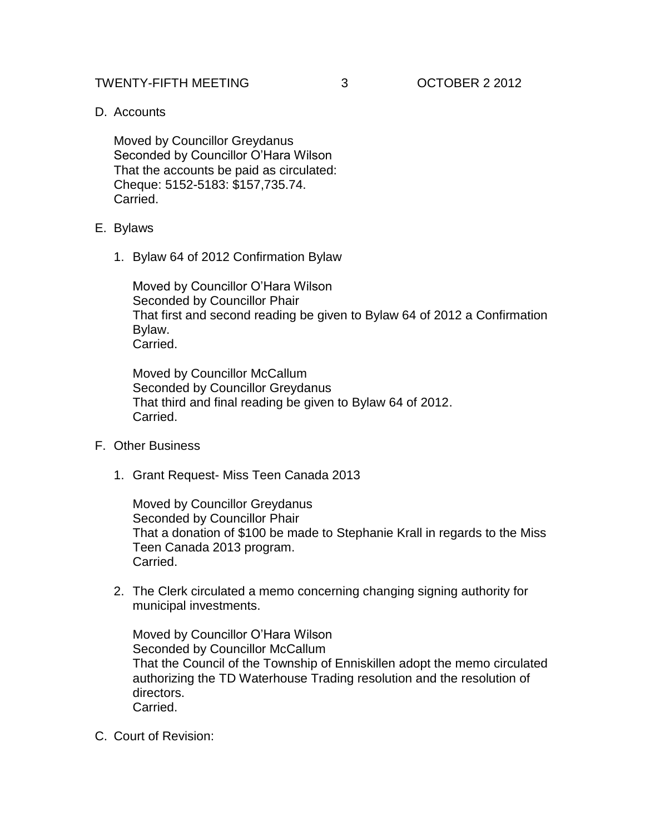## TWENTY-FIFTH MEETING 3 OCTOBER 2 2012

D. Accounts

Moved by Councillor Greydanus Seconded by Councillor O'Hara Wilson That the accounts be paid as circulated: Cheque: 5152-5183: \$157,735.74. Carried.

## E. Bylaws

1. Bylaw 64 of 2012 Confirmation Bylaw

Moved by Councillor O'Hara Wilson Seconded by Councillor Phair That first and second reading be given to Bylaw 64 of 2012 a Confirmation Bylaw. Carried.

Moved by Councillor McCallum Seconded by Councillor Greydanus That third and final reading be given to Bylaw 64 of 2012. Carried.

- F. Other Business
	- 1. Grant Request- Miss Teen Canada 2013

Moved by Councillor Greydanus Seconded by Councillor Phair That a donation of \$100 be made to Stephanie Krall in regards to the Miss Teen Canada 2013 program. Carried.

2. The Clerk circulated a memo concerning changing signing authority for municipal investments.

Moved by Councillor O'Hara Wilson Seconded by Councillor McCallum That the Council of the Township of Enniskillen adopt the memo circulated authorizing the TD Waterhouse Trading resolution and the resolution of directors. Carried.

C. Court of Revision: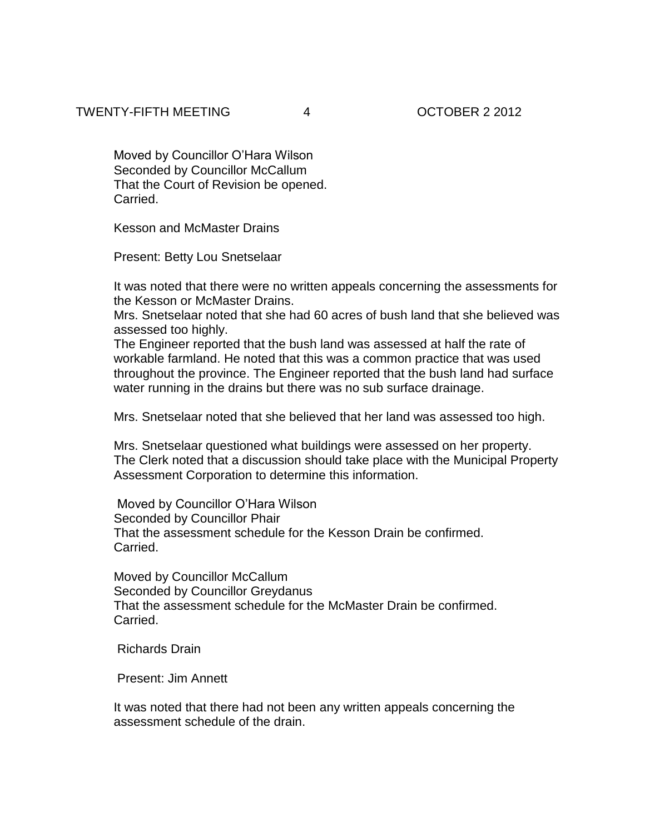Moved by Councillor O'Hara Wilson Seconded by Councillor McCallum That the Court of Revision be opened. Carried.

Kesson and McMaster Drains

Present: Betty Lou Snetselaar

It was noted that there were no written appeals concerning the assessments for the Kesson or McMaster Drains.

Mrs. Snetselaar noted that she had 60 acres of bush land that she believed was assessed too highly.

The Engineer reported that the bush land was assessed at half the rate of workable farmland. He noted that this was a common practice that was used throughout the province. The Engineer reported that the bush land had surface water running in the drains but there was no sub surface drainage.

Mrs. Snetselaar noted that she believed that her land was assessed too high.

Mrs. Snetselaar questioned what buildings were assessed on her property. The Clerk noted that a discussion should take place with the Municipal Property Assessment Corporation to determine this information.

Moved by Councillor O'Hara Wilson Seconded by Councillor Phair That the assessment schedule for the Kesson Drain be confirmed. Carried.

Moved by Councillor McCallum Seconded by Councillor Greydanus That the assessment schedule for the McMaster Drain be confirmed. Carried.

Richards Drain

Present: Jim Annett

It was noted that there had not been any written appeals concerning the assessment schedule of the drain.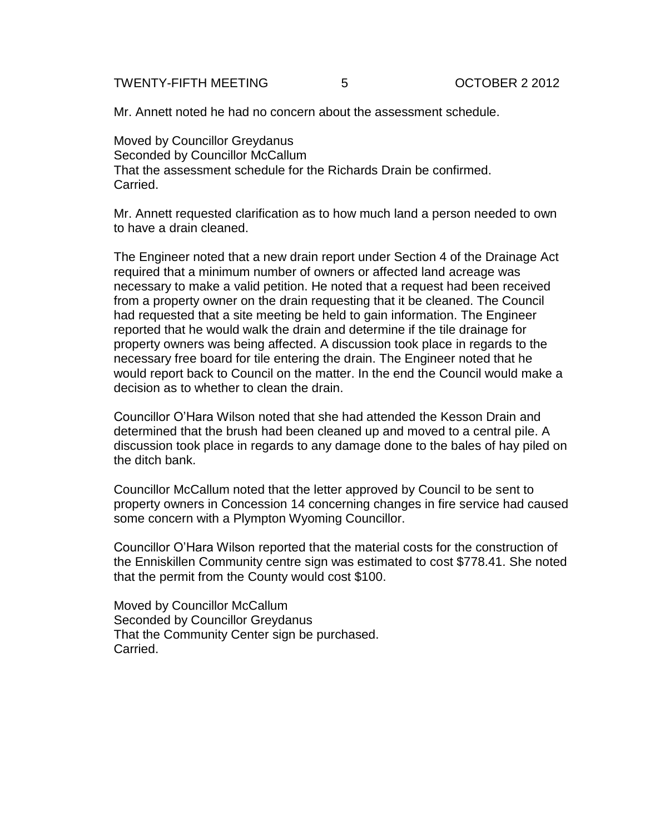TWENTY-FIFTH MEETING 5 OCTOBER 2 2012

Mr. Annett noted he had no concern about the assessment schedule.

Moved by Councillor Greydanus Seconded by Councillor McCallum That the assessment schedule for the Richards Drain be confirmed. Carried.

Mr. Annett requested clarification as to how much land a person needed to own to have a drain cleaned.

The Engineer noted that a new drain report under Section 4 of the Drainage Act required that a minimum number of owners or affected land acreage was necessary to make a valid petition. He noted that a request had been received from a property owner on the drain requesting that it be cleaned. The Council had requested that a site meeting be held to gain information. The Engineer reported that he would walk the drain and determine if the tile drainage for property owners was being affected. A discussion took place in regards to the necessary free board for tile entering the drain. The Engineer noted that he would report back to Council on the matter. In the end the Council would make a decision as to whether to clean the drain.

Councillor O'Hara Wilson noted that she had attended the Kesson Drain and determined that the brush had been cleaned up and moved to a central pile. A discussion took place in regards to any damage done to the bales of hay piled on the ditch bank.

Councillor McCallum noted that the letter approved by Council to be sent to property owners in Concession 14 concerning changes in fire service had caused some concern with a Plympton Wyoming Councillor.

Councillor O'Hara Wilson reported that the material costs for the construction of the Enniskillen Community centre sign was estimated to cost \$778.41. She noted that the permit from the County would cost \$100.

Moved by Councillor McCallum Seconded by Councillor Greydanus That the Community Center sign be purchased. Carried.